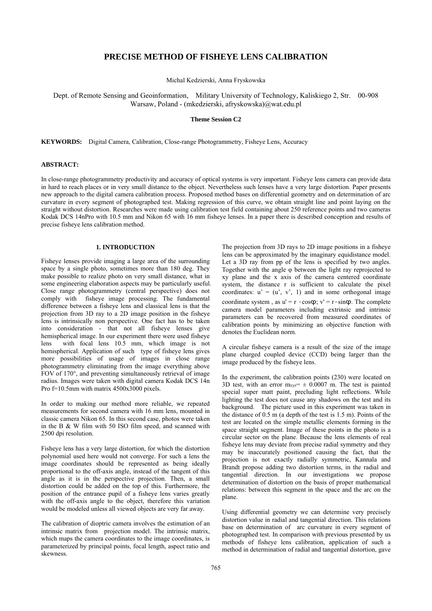# **PRECISE METHOD OF FISHEYE LENS CALIBRATION**

Michal Kedzierski, Anna Fryskowska

Dept. of Remote Sensing and Geoinformation, Military University of Technology, Kaliskiego 2, Str. 00-908 Warsaw, Poland - (mkedzierski, afryskowska)@wat.edu.pl

#### **Theme Session C2**

**KEYWORDS:** Digital Camera, Calibration, Close-range Photogrammetry, Fisheye Lens, Accuracy

### **ABSTRACT:**

In close-range photogrammetry productivity and accuracy of optical systems is very important. Fisheye lens camera can provide data in hard to reach places or in very small distance to the object. Nevertheless such lenses have a very large distortion. Paper presents new approach to the digital camera calibration process. Proposed method bases on differential geometry and on determination of arc curvature in every segment of photographed test. Making regression of this curve, we obtain straight line and point laying on the straight without distortion. Researches were made using calibration test field containing about 250 reference points and two cameras Kodak DCS 14nPro with 10.5 mm and Nikon 65 with 16 mm fisheye lenses. In a paper there is described conception and results of precise fisheye lens calibration method.

### **1. INTRODUCTION**

Fisheye lenses provide imaging a large area of the surrounding space by a single photo, sometimes more than 180 deg. They make possible to realize photo on very small distance, what in some engineering elaboration aspects may be particularly useful. Close range photogrammetry (central perspective) does not comply with fisheye image processing. The fundamental difference between a fisheye lens and classical lens is that the projection from 3D ray to a 2D image position in the fisheye lens is intrinsically non perspective. One fact has to be taken into consideration - that not all fisheye lenses give hemispherical image. In our experiment there were used fisheye lens with focal lens 10.5 mm, which image is not hemispherical. Application of such type of fisheye lens gives more possibilities of usage of images in close range photogrammetry eliminating from the image everything above FOV of 170°, and preventing simultaneously retrieval of image radius. Images were taken with digital camera Kodak DCS 14n Pro f=10.5mm with matrix 4500x3000 pixels.

In order to making our method more reliable, we repeated measurements for second camera with 16 mm lens, mounted in classic camera Nikon 65. In this second case, photos were taken in the B & W film with 50 ISO film speed, and scanned with 2500 dpi resolution.

Fisheye lens has a very large distortion, for which the distortion polynomial used here would not converge. For such a lens the image coordinates should be represented as being ideally proportional to the off-axis angle, instead of the tangent of this angle as it is in the perspective projection. Then, a small distortion could be added on the top of this. Furthermore, the position of the entrance pupil of a fisheye lens varies greatly with the off-axis angle to the object, therefore this variation would be modeled unless all viewed objects are very far away.

The calibration of dioptric camera involves the estimation of an intrinsic matrix from projection model. The intrinsic matrix, which maps the camera coordinates to the image coordinates, is parameterized by principal points, focal length, aspect ratio and skewness.

The projection from 3D rays to 2D image positions in a fisheye lens can be approximated by the imaginary equidistance model. Let a 3D ray from pp of the lens is specified by two angles. Together with the angle φ between the light ray reprojected to xy plane and the x axis of the camera centered coordinate system, the distance r is sufficient to calculate the pixel coordinates:  $u' = (u', v', 1)$  and in some orthogonal image coordinate system, as  $u' = r \cdot cos\phi$ ;  $v' = r \cdot sin\phi$ . The complete camera model parameters including extrinsic and intrinsic parameters can be recovered from measured coordinates of calibration points by minimizing an objective function with denotes the Euclidean norm.

A circular fisheye camera is a result of the size of the image plane charged coupled device (CCD) being larger than the image produced by the fisheye lens.

In the experiment, the calibration points (230) were located on 3D test, with an error  $m_{xyz} = \pm 0.0007$  m. The test is painted special super matt paint, precluding light reflections. While lighting the test does not cause any shadows on the test and its background. The picture used in this experiment was taken in the distance of 0.5 m (a depth of the test is 1.5 m). Points of the test are located on the simple metallic elements forming in the space straight segment. Image of these points in the photo is a circular sector on the plane. Because the lens elements of real fisheye lens may deviate from precise radial symmetry and they may be inaccurately positioned causing the fact, that the projection is not exactly radially symmetric, Kannala and Brandt propose adding two distortion terms, in the radial and tangential direction. In our investigations we propose determination of distortion on the basis of proper mathematical relations: between this segment in the space and the arc on the plane.

Using differential geometry we can determine very precisely distortion value in radial and tangential direction. This relations base on determination of arc curvature in every segment of photographed test. In comparison with previous presented by us methods of fisheye lens calibration, application of such a method in determination of radial and tangential distortion, gave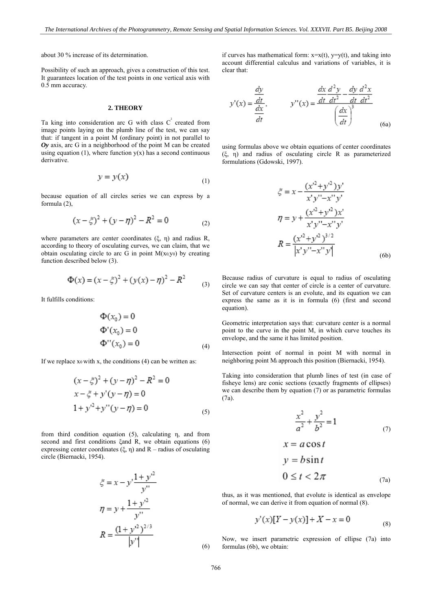about 30 % increase of its determination.

Possibility of such an approach, gives a construction of this test. It guarantees location of the test points in one vertical axis with 0.5 mm accuracy.

#### **2. THEORY**

Ta king into consideration arc G with class  $C^2$  created from image points laying on the plumb line of the test, we can say that: if tangent in a point M (ordinary point) in not parallel to *Oy* axis, arc G in a neighborhood of the point M can be created using equation  $(1)$ , where function  $y(x)$  has a second continuous derivative.

$$
y = y(x) \tag{1}
$$

because equation of all circles series we can express by a formula (2),

$$
(x - \xi)^2 + (y - \eta)^2 - R^2 = 0
$$
 (2)

where parameters are center coordinates (ξ, η) and radius R, according to theory of osculating curves, we can claim, that we obtain osculating circle to arc G in point  $M(x_0,y_0)$  by creating function described below (3).

$$
\Phi(x) = (x - \xi)^2 + (y(x) - \eta)^2 - R^2 \tag{3}
$$

It fulfills conditions:

$$
\Phi(x_0) = 0
$$
  
\n
$$
\Phi'(x_0) = 0
$$
  
\n
$$
\Phi''(x_0) = 0
$$
 (4)

If we replace  $x_0$  with x, the conditions (4) can be written as:

$$
(x - \xi)^2 + (y - \eta)^2 - R^2 = 0
$$
  
\n
$$
x - \xi + y'(y - \eta) = 0
$$
  
\n
$$
1 + y'^2 + y''(y - \eta) = 0
$$
 (5)

from third condition equation (5), calculating η, and from second and first conditions ξand R, we obtain equations (6) expressing center coordinates (ξ, η) and R – radius of osculating circle (Biernacki, 1954).

$$
\xi = x - y' \frac{1 + y'^2}{y''}
$$
  
\n
$$
\eta = y + \frac{1 + y'^2}{y''}
$$
  
\n
$$
R = \frac{(1 + y'^2)^{2/3}}{|y''|}
$$
 (6)

if curves has mathematical form:  $x=x(t)$ ,  $y=y(t)$ , and taking into account differential calculus and variations of variables, it is clear that:

$$
y'(x) = \frac{\frac{dy}{dt}}{\frac{dx}{dt}}, \qquad y''(x) = \frac{\frac{dx}{dt}\frac{d^2y}{dt^2} - \frac{dy}{dt}\frac{d^2x}{dt^2}}{\left(\frac{dx}{dt}\right)^3}
$$
(6a)

using formulas above we obtain equations of center coordinates (ξ, η) and radius of osculating circle R as parameterized formulations (Gdowski, 1997).

$$
\zeta = x - \frac{(x'^2 + y'^2)y'}{x'y'' - x''y'}
$$

$$
\eta = y + \frac{(x'^2 + y'^2)x'}{x'y'' - x''y'}
$$

$$
R = \frac{(x'^2 + y'^2)^{3/2}}{|x'y'' - x''y'|}
$$
(6b)

Because radius of curvature is equal to radius of osculating circle we can say that center of circle is a center of curvature. Set of curvature centers is an evolute, and its equation we can express the same as it is in formula (6) (first and second equation).

Geometric interpretation says that: curvature center is a normal point to the curve in the point M, in which curve touches its envelope, and the same it has limited position.

Intersection point of normal in point M with normal in neighboring point Mi approach this position (Biernacki, 1954).

Taking into consideration that plumb lines of test (in case of fisheye lens) are conic sections (exactly fragments of ellipses) we can describe them by equation (7) or as parametric formulas (7a).

$$
\frac{x^2}{a^2} + \frac{y^2}{b^2} = 1
$$
  
\n
$$
x = a \cos t
$$
  
\n
$$
y = b \sin t
$$
  
\n
$$
0 \le t < 2\pi
$$
  
\n(7a)

thus, as it was mentioned, that evolute is identical as envelope of normal, we can derive it from equation of normal (8).

$$
y'(x)[Y - y(x)] + X - x = 0 \tag{8}
$$

Now, we insert parametric expression of ellipse (7a) into formulas (6b), we obtain: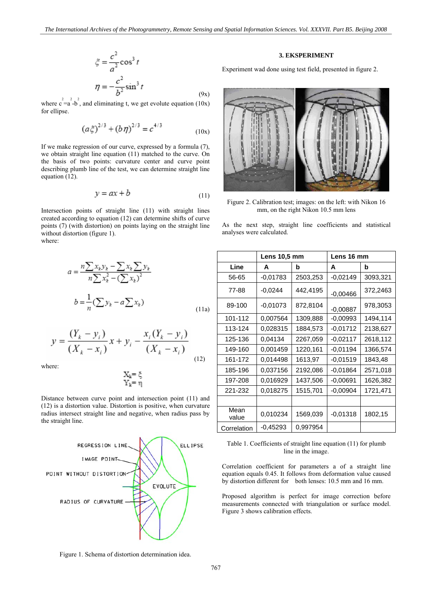$$
\xi = \frac{c^2}{a^2} \cos^3 t
$$

$$
\eta = -\frac{c^2}{b^2} \sin^3 t
$$
(9x)

where  $c^2 = a^2 - b^2$ , and eliminating t, we get evolute equation (10x) for ellipse.

$$
(a\xi)^{2/3} + (b\eta)^{2/3} = c^{4/3} \tag{10x}
$$

If we make regression of our curve, expressed by a formula (7), we obtain straight line equation (11) matched to the curve. On the basis of two points: curvature center and curve point describing plumb line of the test, we can determine straight line equation (12).

$$
y = ax + b \tag{11}
$$

Intersection points of straight line (11) with straight lines created according to equation (12) can determine shifts of curve points (7) (with distortion) on points laying on the straight line without distortion (figure 1). where:

$$
a = \frac{n\sum x_k y_k - \sum x_k \sum y_k}{n\sum x_k^2 - (\sum x_k)^2}
$$
  

$$
b = \frac{1}{n}(\sum y_k - a \sum x_k)
$$
 (11a)

$$
y = \frac{(Y_k - y_i)}{(X_k - x_i)} x + y_i - \frac{x_i (Y_k - y_i)}{(X_k - x_i)}
$$
(12)

where:

$$
\begin{array}{c}X_k=\xi\\ Y_k=\eta\end{array}
$$

Distance between curve point and intersection point (11) and (12) is a distortion value. Distortion is positive, when curvature radius intersect straight line and negative, when radius pass by the straight line.



Figure 1. Schema of distortion determination idea.

## **3. EKSPERIMENT**

Experiment wad done using test field, presented in figure 2.



Figure 2. Calibration test; images: on the left: with Nikon 16 mm, on the right Nikon 10.5 mm lens

As the next step, straight line coefficients and statistical analyses were calculated.

|               | <b>Lens 10,5 mm</b> |          | Lens 16 mm |          |
|---------------|---------------------|----------|------------|----------|
| Line          | A                   | b        | A          | b        |
| 56-65         | $-0,01783$          | 2503,253 | $-0,02149$ | 3093,321 |
| 77-88         | $-0,0244$           | 442,4195 | $-0,00466$ | 372,2463 |
| 89-100        | $-0.01073$          | 872,8104 | $-0,00887$ | 978,3053 |
| 101-112       | 0,007564            | 1309,888 | $-0.00993$ | 1494,114 |
| 113-124       | 0.028315            | 1884,573 | $-0,01712$ | 2138,627 |
| 125-136       | 0,04134             | 2267,059 | $-0.02117$ | 2618,112 |
| 149-160       | 0,001459            | 1220,161 | $-0,01194$ | 1366,574 |
| 161-172       | 0,014498            | 1613,97  | $-0,01519$ | 1843,48  |
| 185-196       | 0,037156            | 2192,086 | $-0.01864$ | 2571,018 |
| 197-208       | 0,016929            | 1437,506 | $-0,00691$ | 1626,382 |
| 221-232       | 0,018275            | 1515,701 | $-0,00904$ | 1721,471 |
|               |                     |          |            |          |
| Mean<br>value | 0,010234            | 1569,039 | $-0,01318$ | 1802,15  |
| Correlation   | $-0.45293$          | 0,997954 |            |          |

Table 1. Coefficients of straight line equation (11) for plumb line in the image.

Correlation coefficient for parameters a of a straight line equation equals 0.45. It follows from deformation value caused by distortion different for both lenses: 10.5 mm and 16 mm.

Proposed algorithm is perfect for image correction before measurements connected with triangulation or surface model. Figure 3 shows calibration effects.